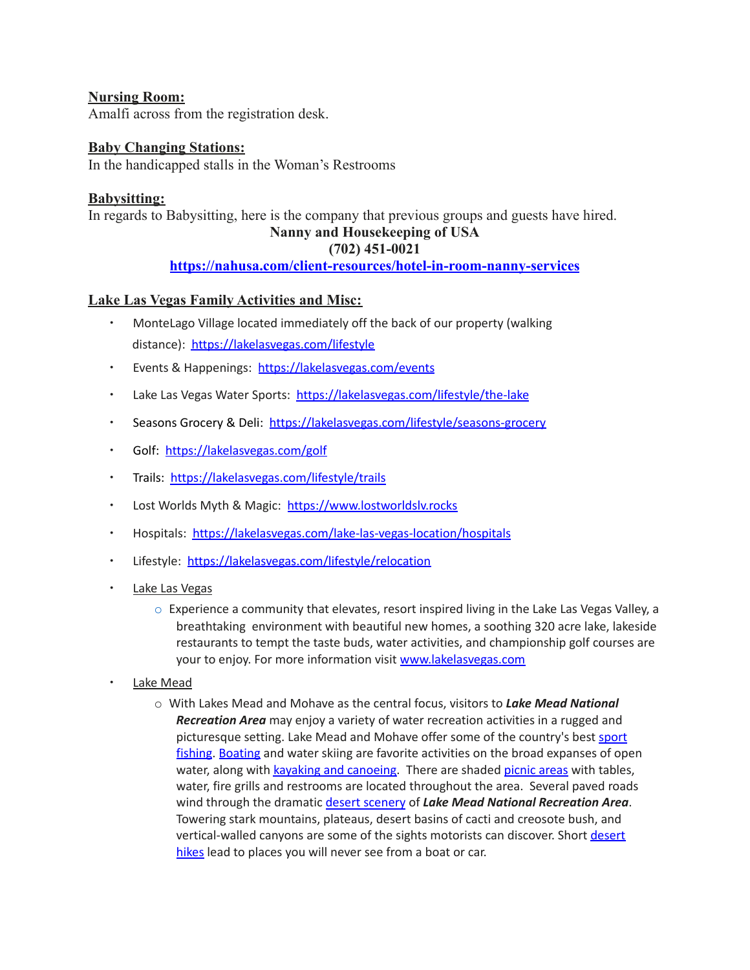## **Nursing Room:**

Amalfi across from the registration desk.

## **Baby Changing Stations:**

In the handicapped stalls in the Woman's Restrooms

## **Babysitting:**

In regards to Babysitting, here is the company that previous groups and guests have hired. **Nanny and Housekeeping of USA (702) 451-0021 [https://nahusa.com/client-resources/hotel-in-room-nanny-services](https://nam02.safelinks.protection.outlook.com/?url=https%3A%2F%2Fnahusa.com%2Fclient-resources%2Fhotel-in-room-nanny-services&data=04%7C01%7CRachel_Harlow%40baylor.edu%7C524c649367ca4e3d111108d8fb8fddd9%7C22d2fb35256a459bbcf4dc23d42dc0a4%7C0%7C0%7C637535942770784213%7CUnknown%7CTWFpbGZsb3d8eyJWIjoiMC4wLjAwMDAiLCJQIjoiV2luMzIiLCJBTiI6Ik1haWwiLCJXVCI6Mn0%3D%7C1000&sdata=GHloWeN0XCYrCi6DJE9foZMrnHoXA4eju6JzycaUBbs%3D&reserved=0)**

## **Lake Las Vegas Family Activities and Misc:**

- ∙ MonteLago Village located immediately off the back of our property (walking distance): [https://lakelasvegas.com/lifestyle](https://nam02.safelinks.protection.outlook.com/?url=https%3A%2F%2Flakelasvegas.com%2Flifestyle&data=04%7C01%7CRachel_Harlow%40baylor.edu%7C524c649367ca4e3d111108d8fb8fddd9%7C22d2fb35256a459bbcf4dc23d42dc0a4%7C0%7C0%7C637535942770794209%7CUnknown%7CTWFpbGZsb3d8eyJWIjoiMC4wLjAwMDAiLCJQIjoiV2luMzIiLCJBTiI6Ik1haWwiLCJXVCI6Mn0%3D%7C1000&sdata=eGEasunTBGOdh%2BVxyYpHvt6if1dWupooYcgkIOuuD6M%3D&reserved=0)
- ∙ Events & Happenings: [https://lakelasvegas.com/events](https://nam02.safelinks.protection.outlook.com/?url=https%3A%2F%2Flakelasvegas.com%2Fevents&data=04%7C01%7CRachel_Harlow%40baylor.edu%7C524c649367ca4e3d111108d8fb8fddd9%7C22d2fb35256a459bbcf4dc23d42dc0a4%7C0%7C0%7C637535942770794209%7CUnknown%7CTWFpbGZsb3d8eyJWIjoiMC4wLjAwMDAiLCJQIjoiV2luMzIiLCJBTiI6Ik1haWwiLCJXVCI6Mn0%3D%7C1000&sdata=O8el9E0GQQeQhwi%2FlmpfeGokCUQCeIKBJhCyShAbFcw%3D&reserved=0)
- ∙ Lake Las Vegas Water Sports: [https://lakelasvegas.com/lifestyle/the-lake](https://nam02.safelinks.protection.outlook.com/?url=https%3A%2F%2Flakelasvegas.com%2Flifestyle%2Fthe-lake&data=04%7C01%7CRachel_Harlow%40baylor.edu%7C524c649367ca4e3d111108d8fb8fddd9%7C22d2fb35256a459bbcf4dc23d42dc0a4%7C0%7C0%7C637535942770804209%7CUnknown%7CTWFpbGZsb3d8eyJWIjoiMC4wLjAwMDAiLCJQIjoiV2luMzIiLCJBTiI6Ik1haWwiLCJXVCI6Mn0%3D%7C1000&sdata=zyqJSwSyugwI4CEYidfDZxA60%2FH7syFkkYOLXtrAf5g%3D&reserved=0)
- ∙ Seasons Grocery & Deli: [https://lakelasvegas.com/lifestyle/seasons-grocery](https://nam02.safelinks.protection.outlook.com/?url=https%3A%2F%2Flakelasvegas.com%2Flifestyle%2Fseasons-grocery&data=04%7C01%7CRachel_Harlow%40baylor.edu%7C524c649367ca4e3d111108d8fb8fddd9%7C22d2fb35256a459bbcf4dc23d42dc0a4%7C0%7C0%7C637535942770804209%7CUnknown%7CTWFpbGZsb3d8eyJWIjoiMC4wLjAwMDAiLCJQIjoiV2luMzIiLCJBTiI6Ik1haWwiLCJXVCI6Mn0%3D%7C1000&sdata=Ado177dL6etx0evLWGrwORydqEOOD4Ozi27mp6Odhbw%3D&reserved=0)
- ∙ Golf: [https://lakelasvegas.com/golf](https://nam02.safelinks.protection.outlook.com/?url=https%3A%2F%2Flakelasvegas.com%2Fgolf&data=04%7C01%7CRachel_Harlow%40baylor.edu%7C524c649367ca4e3d111108d8fb8fddd9%7C22d2fb35256a459bbcf4dc23d42dc0a4%7C0%7C0%7C637535942770804209%7CUnknown%7CTWFpbGZsb3d8eyJWIjoiMC4wLjAwMDAiLCJQIjoiV2luMzIiLCJBTiI6Ik1haWwiLCJXVCI6Mn0%3D%7C1000&sdata=Kx2t%2ByqcGT9j5DQ2ftsAP2HyJRhfkKxM1GwWUaVq2fI%3D&reserved=0)
- ∙ Trails: [https://lakelasvegas.com/lifestyle/trails](https://nam02.safelinks.protection.outlook.com/?url=https%3A%2F%2Flakelasvegas.com%2Flifestyle%2Ftrails&data=04%7C01%7CRachel_Harlow%40baylor.edu%7C524c649367ca4e3d111108d8fb8fddd9%7C22d2fb35256a459bbcf4dc23d42dc0a4%7C0%7C0%7C637535942770814196%7CUnknown%7CTWFpbGZsb3d8eyJWIjoiMC4wLjAwMDAiLCJQIjoiV2luMzIiLCJBTiI6Ik1haWwiLCJXVCI6Mn0%3D%7C1000&sdata=ZUSKx0Duokj%2Bu9H8wJREzljVBzOBOz5BjmIIRvZgtQw%3D&reserved=0)
- ∙ Lost Worlds Myth & Magic: [https://www.lostworldslv.rocks](https://nam02.safelinks.protection.outlook.com/?url=https%3A%2F%2Fwww.lostworldslv.rocks%2F&data=04%7C01%7CRachel_Harlow%40baylor.edu%7C524c649367ca4e3d111108d8fb8fddd9%7C22d2fb35256a459bbcf4dc23d42dc0a4%7C0%7C0%7C637535942770814196%7CUnknown%7CTWFpbGZsb3d8eyJWIjoiMC4wLjAwMDAiLCJQIjoiV2luMzIiLCJBTiI6Ik1haWwiLCJXVCI6Mn0%3D%7C1000&sdata=lynR%2BjVgTPdHk1HiBLJZOnuPAmKxoWJep8fGXPHVBtE%3D&reserved=0)
- ∙ Hospitals: [https://lakelasvegas.com/lake-las-vegas-location/hospitals](https://nam02.safelinks.protection.outlook.com/?url=https%3A%2F%2Flakelasvegas.com%2Flake-las-vegas-location%2Fhospitals&data=04%7C01%7CRachel_Harlow%40baylor.edu%7C524c649367ca4e3d111108d8fb8fddd9%7C22d2fb35256a459bbcf4dc23d42dc0a4%7C0%7C0%7C637535942770824193%7CUnknown%7CTWFpbGZsb3d8eyJWIjoiMC4wLjAwMDAiLCJQIjoiV2luMzIiLCJBTiI6Ik1haWwiLCJXVCI6Mn0%3D%7C1000&sdata=Q%2BDoanmpnDoeTvzP8ZVl%2BFEmVw4kWRwd%2FdZejf704FA%3D&reserved=0)
- ∙ Lifestyle: [https://lakelasvegas.com/lifestyle/relocation](https://nam02.safelinks.protection.outlook.com/?url=https%3A%2F%2Flakelasvegas.com%2Flifestyle%2Frelocation&data=04%7C01%7CRachel_Harlow%40baylor.edu%7C524c649367ca4e3d111108d8fb8fddd9%7C22d2fb35256a459bbcf4dc23d42dc0a4%7C0%7C0%7C637535942770824193%7CUnknown%7CTWFpbGZsb3d8eyJWIjoiMC4wLjAwMDAiLCJQIjoiV2luMzIiLCJBTiI6Ik1haWwiLCJXVCI6Mn0%3D%7C1000&sdata=mbjqgCW%2BNE%2Bj%2B8Uv91H79ldqYNYu4Stwnqf%2FMQzbopE%3D&reserved=0)
- ∙ Lake Las Vegas
	- o Experience a community that elevates, resort inspired living in the Lake Las Vegas Valley, a breathtaking environment with beautiful new homes, a soothing 320 acre lake, lakeside restaurants to tempt the taste buds, water activities, and championship golf courses are your to enjoy. For more information visit [www.lakelasvegas.com](https://nam02.safelinks.protection.outlook.com/?url=http%3A%2F%2Fwww.lakelasvegas.com%2F&data=04%7C01%7CRachel_Harlow%40baylor.edu%7C524c649367ca4e3d111108d8fb8fddd9%7C22d2fb35256a459bbcf4dc23d42dc0a4%7C0%7C0%7C637535942770834191%7CUnknown%7CTWFpbGZsb3d8eyJWIjoiMC4wLjAwMDAiLCJQIjoiV2luMzIiLCJBTiI6Ik1haWwiLCJXVCI6Mn0%3D%7C1000&sdata=VgJ%2Bpvipi2JVwEM3OOrwk1fsEszUSHqKxOJitxs%2B67E%3D&reserved=0)
- ∙ Lake Mead
	- o With Lakes Mead and Mohave as the central focus, visitors to *Lake Mead National Recreation Area* may enjoy a variety of water recreation activities in a rugged and picturesque setting. Lake Mead and Mohave offer some of the country's best [sport](https://nam02.safelinks.protection.outlook.com/?url=https%3A%2F%2Fwww.nps.gov%2Flake%2Fplanyourvisit%2Ffishing.htm&data=04%7C01%7CRachel_Harlow%40baylor.edu%7C524c649367ca4e3d111108d8fb8fddd9%7C22d2fb35256a459bbcf4dc23d42dc0a4%7C0%7C0%7C637535942770834191%7CUnknown%7CTWFpbGZsb3d8eyJWIjoiMC4wLjAwMDAiLCJQIjoiV2luMzIiLCJBTiI6Ik1haWwiLCJXVCI6Mn0%3D%7C1000&sdata=hRhPU2xV2cu2K5zan330ZmnNC4XYzaY%2BpnWPi7YQvDY%3D&reserved=0) [fishing](https://nam02.safelinks.protection.outlook.com/?url=https%3A%2F%2Fwww.nps.gov%2Flake%2Fplanyourvisit%2Ffishing.htm&data=04%7C01%7CRachel_Harlow%40baylor.edu%7C524c649367ca4e3d111108d8fb8fddd9%7C22d2fb35256a459bbcf4dc23d42dc0a4%7C0%7C0%7C637535942770834191%7CUnknown%7CTWFpbGZsb3d8eyJWIjoiMC4wLjAwMDAiLCJQIjoiV2luMzIiLCJBTiI6Ik1haWwiLCJXVCI6Mn0%3D%7C1000&sdata=hRhPU2xV2cu2K5zan330ZmnNC4XYzaY%2BpnWPi7YQvDY%3D&reserved=0). [Boating](https://nam02.safelinks.protection.outlook.com/?url=https%3A%2F%2Fwww.nps.gov%2Flake%2Fplanyourvisit%2Fboating.htm&data=04%7C01%7CRachel_Harlow%40baylor.edu%7C524c649367ca4e3d111108d8fb8fddd9%7C22d2fb35256a459bbcf4dc23d42dc0a4%7C0%7C0%7C637535942770844176%7CUnknown%7CTWFpbGZsb3d8eyJWIjoiMC4wLjAwMDAiLCJQIjoiV2luMzIiLCJBTiI6Ik1haWwiLCJXVCI6Mn0%3D%7C1000&sdata=0HZvdD6rqHOQhzwLJWKEo3bMeG19i0%2BwtIdmxPvZZLI%3D&reserved=0) and water skiing are favorite activities on the broad expanses of open water, along with kayaking and [canoeing.](https://nam02.safelinks.protection.outlook.com/?url=https%3A%2F%2Fwww.nps.gov%2Flake%2Fplanyourvisit%2Fcanoekayak.htm&data=04%7C01%7CRachel_Harlow%40baylor.edu%7C524c649367ca4e3d111108d8fb8fddd9%7C22d2fb35256a459bbcf4dc23d42dc0a4%7C0%7C0%7C637535942770844176%7CUnknown%7CTWFpbGZsb3d8eyJWIjoiMC4wLjAwMDAiLCJQIjoiV2luMzIiLCJBTiI6Ik1haWwiLCJXVCI6Mn0%3D%7C1000&sdata=NTzjTFsYbP3RBs5frB8fRrTOWFRDq%2FdUshycKwN4trM%3D&reserved=0) There are shaded [picnic](https://nam02.safelinks.protection.outlook.com/?url=https%3A%2F%2Fwww.nps.gov%2Flake%2Fplanyourvisit%2Fpicnicking.htm&data=04%7C01%7CRachel_Harlow%40baylor.edu%7C524c649367ca4e3d111108d8fb8fddd9%7C22d2fb35256a459bbcf4dc23d42dc0a4%7C0%7C0%7C637535942770854173%7CUnknown%7CTWFpbGZsb3d8eyJWIjoiMC4wLjAwMDAiLCJQIjoiV2luMzIiLCJBTiI6Ik1haWwiLCJXVCI6Mn0%3D%7C1000&sdata=DIm2JKtPIqliVwQKYMaeOO0DISDyZS2JTCr8zERNrUc%3D&reserved=0) areas with tables, water, fire grills and restrooms are located throughout the area. Several paved roads wind through the dramatic desert [scenery](https://nam02.safelinks.protection.outlook.com/?url=https%3A%2F%2Fwww.nps.gov%2Flake%2Fplanyourvisit%2Fdriving.htm&data=04%7C01%7CRachel_Harlow%40baylor.edu%7C524c649367ca4e3d111108d8fb8fddd9%7C22d2fb35256a459bbcf4dc23d42dc0a4%7C0%7C0%7C637535942770854173%7CUnknown%7CTWFpbGZsb3d8eyJWIjoiMC4wLjAwMDAiLCJQIjoiV2luMzIiLCJBTiI6Ik1haWwiLCJXVCI6Mn0%3D%7C1000&sdata=quUXK2Chx7dn%2BlECzqF8c9Ms68b8C%2FgpSaRLwYo12R8%3D&reserved=0) of *Lake Mead National Recreation Area*. Towering stark mountains, plateaus, desert basins of cacti and creosote bush, and vertical-walled canyons are some of the sights motorists can discover. Short [desert](https://nam02.safelinks.protection.outlook.com/?url=https%3A%2F%2Fwww.nps.gov%2Flake%2Fplanyourvisit%2Fhike.htm&data=04%7C01%7CRachel_Harlow%40baylor.edu%7C524c649367ca4e3d111108d8fb8fddd9%7C22d2fb35256a459bbcf4dc23d42dc0a4%7C0%7C0%7C637535942770864166%7CUnknown%7CTWFpbGZsb3d8eyJWIjoiMC4wLjAwMDAiLCJQIjoiV2luMzIiLCJBTiI6Ik1haWwiLCJXVCI6Mn0%3D%7C1000&sdata=4EMoFITW69HzFJy8QDkqMr7iL%2BHpFJuVxBGoF6ipt4E%3D&reserved=0) [hikes](https://nam02.safelinks.protection.outlook.com/?url=https%3A%2F%2Fwww.nps.gov%2Flake%2Fplanyourvisit%2Fhike.htm&data=04%7C01%7CRachel_Harlow%40baylor.edu%7C524c649367ca4e3d111108d8fb8fddd9%7C22d2fb35256a459bbcf4dc23d42dc0a4%7C0%7C0%7C637535942770864166%7CUnknown%7CTWFpbGZsb3d8eyJWIjoiMC4wLjAwMDAiLCJQIjoiV2luMzIiLCJBTiI6Ik1haWwiLCJXVCI6Mn0%3D%7C1000&sdata=4EMoFITW69HzFJy8QDkqMr7iL%2BHpFJuVxBGoF6ipt4E%3D&reserved=0) lead to places you will never see from a boat or car.